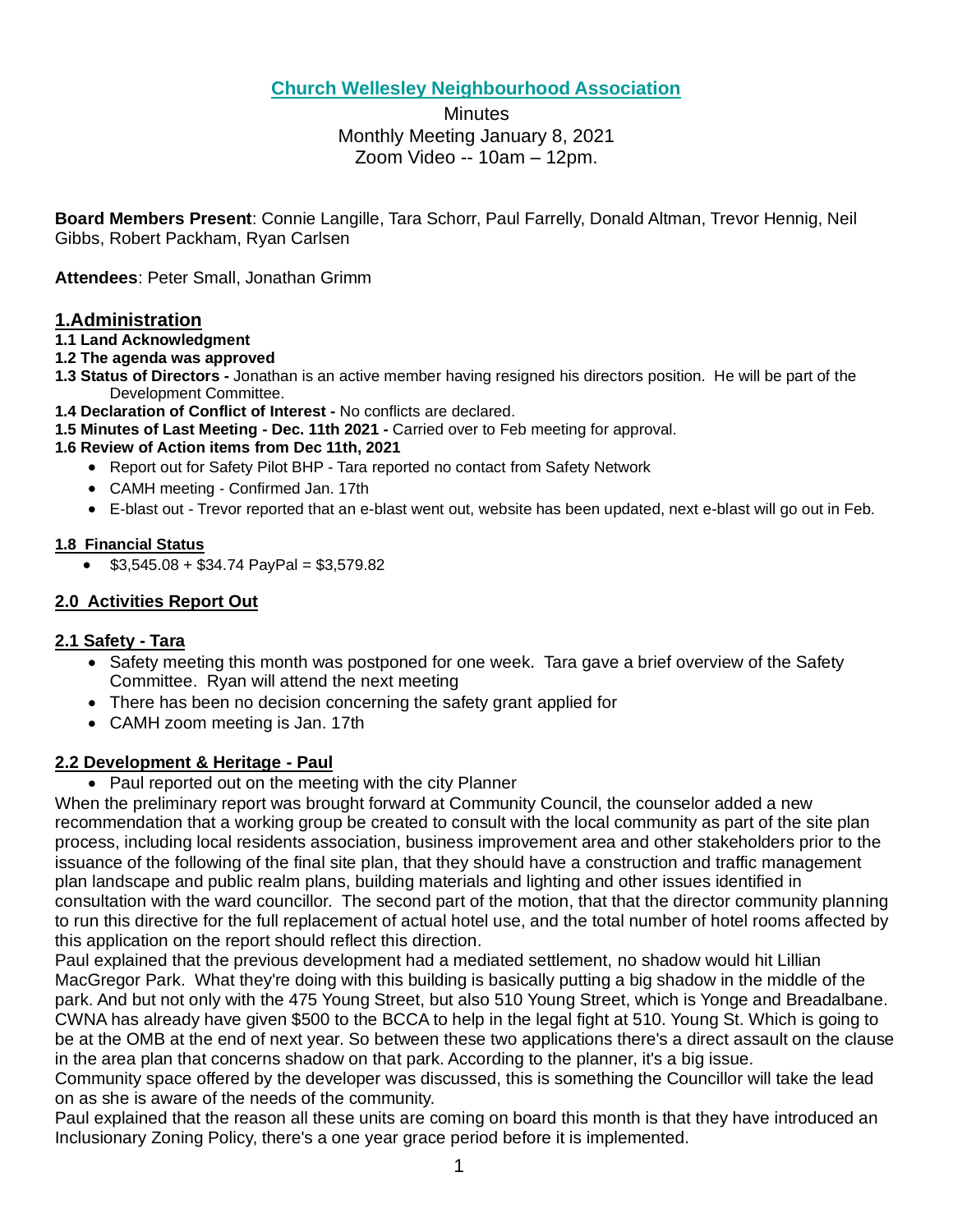# **Church Wellesley Neighbourhood Association**

**Minutes** Monthly Meeting January 8, 2021 Zoom Video -- 10am – 12pm.

**Board Members Present**: Connie Langille, Tara Schorr, Paul Farrelly, Donald Altman, Trevor Hennig, Neil Gibbs, Robert Packham, Ryan Carlsen

**Attendees**: Peter Small, Jonathan Grimm

# **1.Administration**

#### **1.1 Land Acknowledgment**

- **1.2 The agenda was approved**
- **1.3 Status of Directors -** Jonathan is an active member having resigned his directors position. He will be part of the Development Committee.
- **1.4 Declaration of Conflict of Interest -** No conflicts are declared.
- **1.5 Minutes of Last Meeting - Dec. 11th 2021 -** Carried over to Feb meeting for approval.

### **1.6 Review of Action items from Dec 11th, 2021**

- Report out for Safety Pilot BHP Tara reported no contact from Safety Network
- CAMH meeting Confirmed Jan. 17th
- E-blast out Trevor reported that an e-blast went out, website has been updated, next e-blast will go out in Feb.

### **1.8 Financial Status**

 $\bullet$  \$3,545.08 + \$34.74 PayPal = \$3,579.82

## **2.0 Activities Report Out**

## **2.1 Safety - Tara**

- Safety meeting this month was postponed for one week. Tara gave a brief overview of the Safety Committee. Ryan will attend the next meeting
- There has been no decision concerning the safety grant applied for
- CAMH zoom meeting is Jan. 17th

## **2.2 Development & Heritage - Paul**

• Paul reported out on the meeting with the city Planner

When the preliminary report was brought forward at Community Council, the counselor added a new recommendation that a working group be created to consult with the local community as part of the site plan process, including local residents association, business improvement area and other stakeholders prior to the issuance of the following of the final site plan, that they should have a construction and traffic management plan landscape and public realm plans, building materials and lighting and other issues identified in consultation with the ward councillor. The second part of the motion, that that the director community planning to run this directive for the full replacement of actual hotel use, and the total number of hotel rooms affected by this application on the report should reflect this direction.

Paul explained that the previous development had a mediated settlement, no shadow would hit Lillian MacGregor Park. What they're doing with this building is basically putting a big shadow in the middle of the park. And but not only with the 475 Young Street, but also 510 Young Street, which is Yonge and Breadalbane. CWNA has already have given \$500 to the BCCA to help in the legal fight at 510. Young St. Which is going to be at the OMB at the end of next year. So between these two applications there's a direct assault on the clause in the area plan that concerns shadow on that park. According to the planner, it's a big issue.

Community space offered by the developer was discussed, this is something the Councillor will take the lead on as she is aware of the needs of the community.

Paul explained that the reason all these units are coming on board this month is that they have introduced an Inclusionary Zoning Policy, there's a one year grace period before it is implemented.